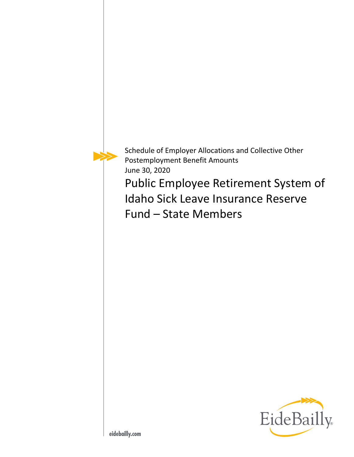

Schedule of Employer Allocations and Collective Other Postemployment Benefit Amounts June 30, 2020

Public Employee Retirement System of Idaho Sick Leave Insurance Reserve Fund – State Members

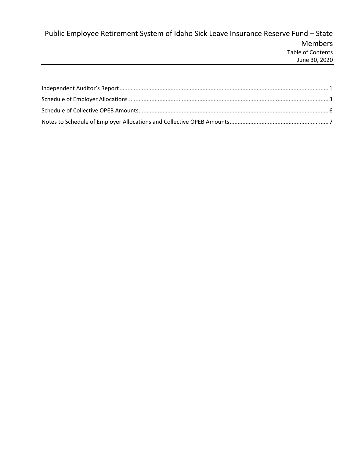# Public Employee Retirement System of Idaho Sick Leave Insurance Reserve Fund – State Members Table of Contents June 30, 2020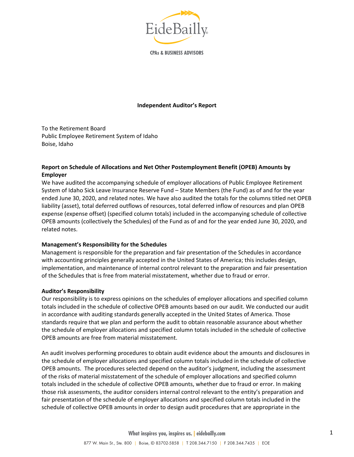

**CPAs & BUSINESS ADVISORS** 

## **Independent Auditor's Report**

To the Retirement Board Public Employee Retirement System of Idaho Boise, Idaho

## **Report on Schedule of Allocations and Net Other Postemployment Benefit (OPEB) Amounts by Employer**

We have audited the accompanying schedule of employer allocations of Public Employee Retirement System of Idaho Sick Leave Insurance Reserve Fund – State Members (the Fund) as of and for the year ended June 30, 2020, and related notes. We have also audited the totals for the columns titled net OPEB liability (asset), total deferred outflows of resources, total deferred inflow of resources and plan OPEB expense (expense offset) (specified column totals) included in the accompanying schedule of collective OPEB amounts (collectively the Schedules) of the Fund as of and for the year ended June 30, 2020, and related notes.

#### **Management's Responsibility for the Schedules**

Management is responsible for the preparation and fair presentation of the Schedules in accordance with accounting principles generally accepted in the United States of America; this includes design, implementation, and maintenance of internal control relevant to the preparation and fair presentation of the Schedules that is free from material misstatement, whether due to fraud or error.

#### **Auditor's Responsibility**

Our responsibility is to express opinions on the schedules of employer allocations and specified column totals included in the schedule of collective OPEB amounts based on our audit. We conducted our audit in accordance with auditing standards generally accepted in the United States of America. Those standards require that we plan and perform the audit to obtain reasonable assurance about whether the schedule of employer allocations and specified column totals included in the schedule of collective OPEB amounts are free from material misstatement.

An audit involves performing procedures to obtain audit evidence about the amounts and disclosures in the schedule of employer allocations and specified column totals included in the schedule of collective OPEB amounts. The procedures selected depend on the auditor's judgment, including the assessment of the risks of material misstatement of the schedule of employer allocations and specified column totals included in the schedule of collective OPEB amounts, whether due to fraud or error. In making those risk assessments, the auditor considers internal control relevant to the entity's preparation and fair presentation of the schedule of employer allocations and specified column totals included in the schedule of collective OPEB amounts in order to design audit procedures that are appropriate in the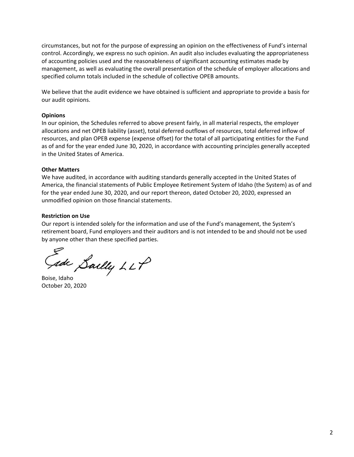circumstances, but not for the purpose of expressing an opinion on the effectiveness of Fund's internal control. Accordingly, we express no such opinion. An audit also includes evaluating the appropriateness of accounting policies used and the reasonableness of significant accounting estimates made by management, as well as evaluating the overall presentation of the schedule of employer allocations and specified column totals included in the schedule of collective OPEB amounts.

We believe that the audit evidence we have obtained is sufficient and appropriate to provide a basis for our audit opinions.

## **Opinions**

In our opinion, the Schedules referred to above present fairly, in all material respects, the employer allocations and net OPEB liability (asset), total deferred outflows of resources, total deferred inflow of resources, and plan OPEB expense (expense offset) for the total of all participating entities for the Fund as of and for the year ended June 30, 2020, in accordance with accounting principles generally accepted in the United States of America.

## **Other Matters**

We have audited, in accordance with auditing standards generally accepted in the United States of America, the financial statements of Public Employee Retirement System of Idaho (the System) as of and for the year ended June 30, 2020, and our report thereon, dated October 20, 2020, expressed an unmodified opinion on those financial statements.

## **Restriction on Use**

Our report is intended solely for the information and use of the Fund's management, the System's retirement board, Fund employers and their auditors and is not intended to be and should not be used by anyone other than these specified parties.

sde Sailly LLP

Boise, Idaho October 20, 2020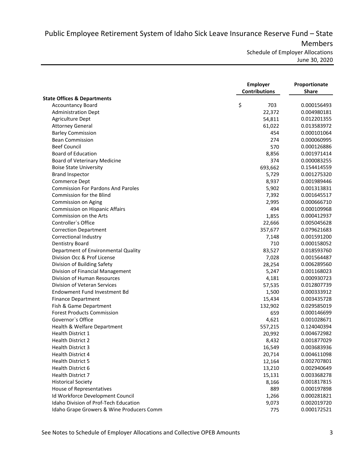Public Employee Retirement System of Idaho Sick Leave Insurance Reserve Fund – State Members

Schedule of Employer Allocations June 30, 2020

| <b>State Offices &amp; Departments</b><br>\$<br>703<br><b>Accountancy Board</b><br>0.000156493<br>22,372<br><b>Administration Dept</b><br>0.004980181<br>Agriculture Dept<br>54,811<br>0.012201355<br><b>Attorney General</b><br>61,022<br>0.013583972<br><b>Barley Commission</b><br>454<br>0.000101064<br><b>Bean Commission</b><br>274<br>0.000060995<br><b>Beef Council</b><br>570<br>0.000126886<br><b>Board of Education</b><br>8,856<br>0.001971414<br>374<br><b>Board of Veterinary Medicine</b><br>0.000083255<br><b>Boise State University</b><br>693,662<br>0.154414559<br><b>Brand Inspector</b><br>5,729<br>0.001275320<br>Commerce Dept<br>8,937<br>0.001989446<br><b>Commission For Pardons And Paroles</b><br>5,902<br>0.001313831<br><b>Commission for the Blind</b><br>7,392<br>0.001645517<br>Commission on Aging<br>2,995<br>0.000666710<br>494<br>Commission on Hispanic Affairs<br>0.000109968<br>Commission on the Arts<br>1,855<br>0.000412937<br>Controller's Office<br>22,666<br>0.005045628<br><b>Correction Department</b><br>357,677<br>0.079621683<br>Correctional Industry<br>7,148<br>0.001591200<br>710<br><b>Dentistry Board</b><br>0.000158052<br>Department of Environmental Quality<br>0.018593760<br>83,527<br>Division Occ & Prof License<br>0.001564487<br>7,028<br>Division of Building Safety<br>0.006289560<br>28,254<br>Division of Financial Management<br>0.001168023<br>5,247<br>Division of Human Resources<br>0.000930723<br>4,181<br>Division of Veteran Services<br>0.012807739<br>57,535<br>Endowment Fund Investment Bd<br>0.000333912<br>1,500<br><b>Finance Department</b><br>0.003435728<br>15,434<br>Fish & Game Department<br>0.029585019<br>132,902<br><b>Forest Products Commission</b><br>659<br>0.000146699<br>Governor's Office<br>0.001028671<br>4,621<br>Health & Welfare Department<br>557,215<br>0.124040394<br><b>Health District 1</b><br>0.004672982<br>20,992<br>Health District 2<br>8,432<br>0.001877029<br><b>Health District 3</b><br>16,549<br>0.003683936<br>Health District 4<br>20,714<br>0.004611098<br><b>Health District 5</b><br>12,164<br>0.002707801<br>Health District 6<br>13,210<br>0.002940649<br>Health District 7<br>15,131<br>0.003368278<br><b>Historical Society</b><br>8,166<br>0.001817815<br>889<br>House of Representatives<br>0.000197898<br>Id Workforce Development Council<br>1,266<br>0.000281821<br><b>Idaho Division of Prof-Tech Education</b><br>9,073<br>0.002019720<br>Idaho Grape Growers & Wine Producers Comm<br>775<br>0.000172521 | <b>Employer</b><br><b>Contributions</b> | Proportionate<br><b>Share</b> |  |
|-----------------------------------------------------------------------------------------------------------------------------------------------------------------------------------------------------------------------------------------------------------------------------------------------------------------------------------------------------------------------------------------------------------------------------------------------------------------------------------------------------------------------------------------------------------------------------------------------------------------------------------------------------------------------------------------------------------------------------------------------------------------------------------------------------------------------------------------------------------------------------------------------------------------------------------------------------------------------------------------------------------------------------------------------------------------------------------------------------------------------------------------------------------------------------------------------------------------------------------------------------------------------------------------------------------------------------------------------------------------------------------------------------------------------------------------------------------------------------------------------------------------------------------------------------------------------------------------------------------------------------------------------------------------------------------------------------------------------------------------------------------------------------------------------------------------------------------------------------------------------------------------------------------------------------------------------------------------------------------------------------------------------------------------------------------------------------------------------------------------------------------------------------------------------------------------------------------------------------------------------------------------------------------------------------------------------------------------------------------------------------------------------------------------------------------------------------------------------------------------------------------------------------------------------------|-----------------------------------------|-------------------------------|--|
|                                                                                                                                                                                                                                                                                                                                                                                                                                                                                                                                                                                                                                                                                                                                                                                                                                                                                                                                                                                                                                                                                                                                                                                                                                                                                                                                                                                                                                                                                                                                                                                                                                                                                                                                                                                                                                                                                                                                                                                                                                                                                                                                                                                                                                                                                                                                                                                                                                                                                                                                                     |                                         |                               |  |
|                                                                                                                                                                                                                                                                                                                                                                                                                                                                                                                                                                                                                                                                                                                                                                                                                                                                                                                                                                                                                                                                                                                                                                                                                                                                                                                                                                                                                                                                                                                                                                                                                                                                                                                                                                                                                                                                                                                                                                                                                                                                                                                                                                                                                                                                                                                                                                                                                                                                                                                                                     |                                         |                               |  |
|                                                                                                                                                                                                                                                                                                                                                                                                                                                                                                                                                                                                                                                                                                                                                                                                                                                                                                                                                                                                                                                                                                                                                                                                                                                                                                                                                                                                                                                                                                                                                                                                                                                                                                                                                                                                                                                                                                                                                                                                                                                                                                                                                                                                                                                                                                                                                                                                                                                                                                                                                     |                                         |                               |  |
|                                                                                                                                                                                                                                                                                                                                                                                                                                                                                                                                                                                                                                                                                                                                                                                                                                                                                                                                                                                                                                                                                                                                                                                                                                                                                                                                                                                                                                                                                                                                                                                                                                                                                                                                                                                                                                                                                                                                                                                                                                                                                                                                                                                                                                                                                                                                                                                                                                                                                                                                                     |                                         |                               |  |
|                                                                                                                                                                                                                                                                                                                                                                                                                                                                                                                                                                                                                                                                                                                                                                                                                                                                                                                                                                                                                                                                                                                                                                                                                                                                                                                                                                                                                                                                                                                                                                                                                                                                                                                                                                                                                                                                                                                                                                                                                                                                                                                                                                                                                                                                                                                                                                                                                                                                                                                                                     |                                         |                               |  |
|                                                                                                                                                                                                                                                                                                                                                                                                                                                                                                                                                                                                                                                                                                                                                                                                                                                                                                                                                                                                                                                                                                                                                                                                                                                                                                                                                                                                                                                                                                                                                                                                                                                                                                                                                                                                                                                                                                                                                                                                                                                                                                                                                                                                                                                                                                                                                                                                                                                                                                                                                     |                                         |                               |  |
|                                                                                                                                                                                                                                                                                                                                                                                                                                                                                                                                                                                                                                                                                                                                                                                                                                                                                                                                                                                                                                                                                                                                                                                                                                                                                                                                                                                                                                                                                                                                                                                                                                                                                                                                                                                                                                                                                                                                                                                                                                                                                                                                                                                                                                                                                                                                                                                                                                                                                                                                                     |                                         |                               |  |
|                                                                                                                                                                                                                                                                                                                                                                                                                                                                                                                                                                                                                                                                                                                                                                                                                                                                                                                                                                                                                                                                                                                                                                                                                                                                                                                                                                                                                                                                                                                                                                                                                                                                                                                                                                                                                                                                                                                                                                                                                                                                                                                                                                                                                                                                                                                                                                                                                                                                                                                                                     |                                         |                               |  |
|                                                                                                                                                                                                                                                                                                                                                                                                                                                                                                                                                                                                                                                                                                                                                                                                                                                                                                                                                                                                                                                                                                                                                                                                                                                                                                                                                                                                                                                                                                                                                                                                                                                                                                                                                                                                                                                                                                                                                                                                                                                                                                                                                                                                                                                                                                                                                                                                                                                                                                                                                     |                                         |                               |  |
|                                                                                                                                                                                                                                                                                                                                                                                                                                                                                                                                                                                                                                                                                                                                                                                                                                                                                                                                                                                                                                                                                                                                                                                                                                                                                                                                                                                                                                                                                                                                                                                                                                                                                                                                                                                                                                                                                                                                                                                                                                                                                                                                                                                                                                                                                                                                                                                                                                                                                                                                                     |                                         |                               |  |
|                                                                                                                                                                                                                                                                                                                                                                                                                                                                                                                                                                                                                                                                                                                                                                                                                                                                                                                                                                                                                                                                                                                                                                                                                                                                                                                                                                                                                                                                                                                                                                                                                                                                                                                                                                                                                                                                                                                                                                                                                                                                                                                                                                                                                                                                                                                                                                                                                                                                                                                                                     |                                         |                               |  |
|                                                                                                                                                                                                                                                                                                                                                                                                                                                                                                                                                                                                                                                                                                                                                                                                                                                                                                                                                                                                                                                                                                                                                                                                                                                                                                                                                                                                                                                                                                                                                                                                                                                                                                                                                                                                                                                                                                                                                                                                                                                                                                                                                                                                                                                                                                                                                                                                                                                                                                                                                     |                                         |                               |  |
|                                                                                                                                                                                                                                                                                                                                                                                                                                                                                                                                                                                                                                                                                                                                                                                                                                                                                                                                                                                                                                                                                                                                                                                                                                                                                                                                                                                                                                                                                                                                                                                                                                                                                                                                                                                                                                                                                                                                                                                                                                                                                                                                                                                                                                                                                                                                                                                                                                                                                                                                                     |                                         |                               |  |
|                                                                                                                                                                                                                                                                                                                                                                                                                                                                                                                                                                                                                                                                                                                                                                                                                                                                                                                                                                                                                                                                                                                                                                                                                                                                                                                                                                                                                                                                                                                                                                                                                                                                                                                                                                                                                                                                                                                                                                                                                                                                                                                                                                                                                                                                                                                                                                                                                                                                                                                                                     |                                         |                               |  |
|                                                                                                                                                                                                                                                                                                                                                                                                                                                                                                                                                                                                                                                                                                                                                                                                                                                                                                                                                                                                                                                                                                                                                                                                                                                                                                                                                                                                                                                                                                                                                                                                                                                                                                                                                                                                                                                                                                                                                                                                                                                                                                                                                                                                                                                                                                                                                                                                                                                                                                                                                     |                                         |                               |  |
|                                                                                                                                                                                                                                                                                                                                                                                                                                                                                                                                                                                                                                                                                                                                                                                                                                                                                                                                                                                                                                                                                                                                                                                                                                                                                                                                                                                                                                                                                                                                                                                                                                                                                                                                                                                                                                                                                                                                                                                                                                                                                                                                                                                                                                                                                                                                                                                                                                                                                                                                                     |                                         |                               |  |
|                                                                                                                                                                                                                                                                                                                                                                                                                                                                                                                                                                                                                                                                                                                                                                                                                                                                                                                                                                                                                                                                                                                                                                                                                                                                                                                                                                                                                                                                                                                                                                                                                                                                                                                                                                                                                                                                                                                                                                                                                                                                                                                                                                                                                                                                                                                                                                                                                                                                                                                                                     |                                         |                               |  |
|                                                                                                                                                                                                                                                                                                                                                                                                                                                                                                                                                                                                                                                                                                                                                                                                                                                                                                                                                                                                                                                                                                                                                                                                                                                                                                                                                                                                                                                                                                                                                                                                                                                                                                                                                                                                                                                                                                                                                                                                                                                                                                                                                                                                                                                                                                                                                                                                                                                                                                                                                     |                                         |                               |  |
|                                                                                                                                                                                                                                                                                                                                                                                                                                                                                                                                                                                                                                                                                                                                                                                                                                                                                                                                                                                                                                                                                                                                                                                                                                                                                                                                                                                                                                                                                                                                                                                                                                                                                                                                                                                                                                                                                                                                                                                                                                                                                                                                                                                                                                                                                                                                                                                                                                                                                                                                                     |                                         |                               |  |
|                                                                                                                                                                                                                                                                                                                                                                                                                                                                                                                                                                                                                                                                                                                                                                                                                                                                                                                                                                                                                                                                                                                                                                                                                                                                                                                                                                                                                                                                                                                                                                                                                                                                                                                                                                                                                                                                                                                                                                                                                                                                                                                                                                                                                                                                                                                                                                                                                                                                                                                                                     |                                         |                               |  |
|                                                                                                                                                                                                                                                                                                                                                                                                                                                                                                                                                                                                                                                                                                                                                                                                                                                                                                                                                                                                                                                                                                                                                                                                                                                                                                                                                                                                                                                                                                                                                                                                                                                                                                                                                                                                                                                                                                                                                                                                                                                                                                                                                                                                                                                                                                                                                                                                                                                                                                                                                     |                                         |                               |  |
|                                                                                                                                                                                                                                                                                                                                                                                                                                                                                                                                                                                                                                                                                                                                                                                                                                                                                                                                                                                                                                                                                                                                                                                                                                                                                                                                                                                                                                                                                                                                                                                                                                                                                                                                                                                                                                                                                                                                                                                                                                                                                                                                                                                                                                                                                                                                                                                                                                                                                                                                                     |                                         |                               |  |
|                                                                                                                                                                                                                                                                                                                                                                                                                                                                                                                                                                                                                                                                                                                                                                                                                                                                                                                                                                                                                                                                                                                                                                                                                                                                                                                                                                                                                                                                                                                                                                                                                                                                                                                                                                                                                                                                                                                                                                                                                                                                                                                                                                                                                                                                                                                                                                                                                                                                                                                                                     |                                         |                               |  |
|                                                                                                                                                                                                                                                                                                                                                                                                                                                                                                                                                                                                                                                                                                                                                                                                                                                                                                                                                                                                                                                                                                                                                                                                                                                                                                                                                                                                                                                                                                                                                                                                                                                                                                                                                                                                                                                                                                                                                                                                                                                                                                                                                                                                                                                                                                                                                                                                                                                                                                                                                     |                                         |                               |  |
|                                                                                                                                                                                                                                                                                                                                                                                                                                                                                                                                                                                                                                                                                                                                                                                                                                                                                                                                                                                                                                                                                                                                                                                                                                                                                                                                                                                                                                                                                                                                                                                                                                                                                                                                                                                                                                                                                                                                                                                                                                                                                                                                                                                                                                                                                                                                                                                                                                                                                                                                                     |                                         |                               |  |
|                                                                                                                                                                                                                                                                                                                                                                                                                                                                                                                                                                                                                                                                                                                                                                                                                                                                                                                                                                                                                                                                                                                                                                                                                                                                                                                                                                                                                                                                                                                                                                                                                                                                                                                                                                                                                                                                                                                                                                                                                                                                                                                                                                                                                                                                                                                                                                                                                                                                                                                                                     |                                         |                               |  |
|                                                                                                                                                                                                                                                                                                                                                                                                                                                                                                                                                                                                                                                                                                                                                                                                                                                                                                                                                                                                                                                                                                                                                                                                                                                                                                                                                                                                                                                                                                                                                                                                                                                                                                                                                                                                                                                                                                                                                                                                                                                                                                                                                                                                                                                                                                                                                                                                                                                                                                                                                     |                                         |                               |  |
|                                                                                                                                                                                                                                                                                                                                                                                                                                                                                                                                                                                                                                                                                                                                                                                                                                                                                                                                                                                                                                                                                                                                                                                                                                                                                                                                                                                                                                                                                                                                                                                                                                                                                                                                                                                                                                                                                                                                                                                                                                                                                                                                                                                                                                                                                                                                                                                                                                                                                                                                                     |                                         |                               |  |
|                                                                                                                                                                                                                                                                                                                                                                                                                                                                                                                                                                                                                                                                                                                                                                                                                                                                                                                                                                                                                                                                                                                                                                                                                                                                                                                                                                                                                                                                                                                                                                                                                                                                                                                                                                                                                                                                                                                                                                                                                                                                                                                                                                                                                                                                                                                                                                                                                                                                                                                                                     |                                         |                               |  |
|                                                                                                                                                                                                                                                                                                                                                                                                                                                                                                                                                                                                                                                                                                                                                                                                                                                                                                                                                                                                                                                                                                                                                                                                                                                                                                                                                                                                                                                                                                                                                                                                                                                                                                                                                                                                                                                                                                                                                                                                                                                                                                                                                                                                                                                                                                                                                                                                                                                                                                                                                     |                                         |                               |  |
|                                                                                                                                                                                                                                                                                                                                                                                                                                                                                                                                                                                                                                                                                                                                                                                                                                                                                                                                                                                                                                                                                                                                                                                                                                                                                                                                                                                                                                                                                                                                                                                                                                                                                                                                                                                                                                                                                                                                                                                                                                                                                                                                                                                                                                                                                                                                                                                                                                                                                                                                                     |                                         |                               |  |
|                                                                                                                                                                                                                                                                                                                                                                                                                                                                                                                                                                                                                                                                                                                                                                                                                                                                                                                                                                                                                                                                                                                                                                                                                                                                                                                                                                                                                                                                                                                                                                                                                                                                                                                                                                                                                                                                                                                                                                                                                                                                                                                                                                                                                                                                                                                                                                                                                                                                                                                                                     |                                         |                               |  |
|                                                                                                                                                                                                                                                                                                                                                                                                                                                                                                                                                                                                                                                                                                                                                                                                                                                                                                                                                                                                                                                                                                                                                                                                                                                                                                                                                                                                                                                                                                                                                                                                                                                                                                                                                                                                                                                                                                                                                                                                                                                                                                                                                                                                                                                                                                                                                                                                                                                                                                                                                     |                                         |                               |  |
|                                                                                                                                                                                                                                                                                                                                                                                                                                                                                                                                                                                                                                                                                                                                                                                                                                                                                                                                                                                                                                                                                                                                                                                                                                                                                                                                                                                                                                                                                                                                                                                                                                                                                                                                                                                                                                                                                                                                                                                                                                                                                                                                                                                                                                                                                                                                                                                                                                                                                                                                                     |                                         |                               |  |
|                                                                                                                                                                                                                                                                                                                                                                                                                                                                                                                                                                                                                                                                                                                                                                                                                                                                                                                                                                                                                                                                                                                                                                                                                                                                                                                                                                                                                                                                                                                                                                                                                                                                                                                                                                                                                                                                                                                                                                                                                                                                                                                                                                                                                                                                                                                                                                                                                                                                                                                                                     |                                         |                               |  |
|                                                                                                                                                                                                                                                                                                                                                                                                                                                                                                                                                                                                                                                                                                                                                                                                                                                                                                                                                                                                                                                                                                                                                                                                                                                                                                                                                                                                                                                                                                                                                                                                                                                                                                                                                                                                                                                                                                                                                                                                                                                                                                                                                                                                                                                                                                                                                                                                                                                                                                                                                     |                                         |                               |  |
|                                                                                                                                                                                                                                                                                                                                                                                                                                                                                                                                                                                                                                                                                                                                                                                                                                                                                                                                                                                                                                                                                                                                                                                                                                                                                                                                                                                                                                                                                                                                                                                                                                                                                                                                                                                                                                                                                                                                                                                                                                                                                                                                                                                                                                                                                                                                                                                                                                                                                                                                                     |                                         |                               |  |
|                                                                                                                                                                                                                                                                                                                                                                                                                                                                                                                                                                                                                                                                                                                                                                                                                                                                                                                                                                                                                                                                                                                                                                                                                                                                                                                                                                                                                                                                                                                                                                                                                                                                                                                                                                                                                                                                                                                                                                                                                                                                                                                                                                                                                                                                                                                                                                                                                                                                                                                                                     |                                         |                               |  |
|                                                                                                                                                                                                                                                                                                                                                                                                                                                                                                                                                                                                                                                                                                                                                                                                                                                                                                                                                                                                                                                                                                                                                                                                                                                                                                                                                                                                                                                                                                                                                                                                                                                                                                                                                                                                                                                                                                                                                                                                                                                                                                                                                                                                                                                                                                                                                                                                                                                                                                                                                     |                                         |                               |  |
|                                                                                                                                                                                                                                                                                                                                                                                                                                                                                                                                                                                                                                                                                                                                                                                                                                                                                                                                                                                                                                                                                                                                                                                                                                                                                                                                                                                                                                                                                                                                                                                                                                                                                                                                                                                                                                                                                                                                                                                                                                                                                                                                                                                                                                                                                                                                                                                                                                                                                                                                                     |                                         |                               |  |
|                                                                                                                                                                                                                                                                                                                                                                                                                                                                                                                                                                                                                                                                                                                                                                                                                                                                                                                                                                                                                                                                                                                                                                                                                                                                                                                                                                                                                                                                                                                                                                                                                                                                                                                                                                                                                                                                                                                                                                                                                                                                                                                                                                                                                                                                                                                                                                                                                                                                                                                                                     |                                         |                               |  |
|                                                                                                                                                                                                                                                                                                                                                                                                                                                                                                                                                                                                                                                                                                                                                                                                                                                                                                                                                                                                                                                                                                                                                                                                                                                                                                                                                                                                                                                                                                                                                                                                                                                                                                                                                                                                                                                                                                                                                                                                                                                                                                                                                                                                                                                                                                                                                                                                                                                                                                                                                     |                                         |                               |  |
|                                                                                                                                                                                                                                                                                                                                                                                                                                                                                                                                                                                                                                                                                                                                                                                                                                                                                                                                                                                                                                                                                                                                                                                                                                                                                                                                                                                                                                                                                                                                                                                                                                                                                                                                                                                                                                                                                                                                                                                                                                                                                                                                                                                                                                                                                                                                                                                                                                                                                                                                                     |                                         |                               |  |
|                                                                                                                                                                                                                                                                                                                                                                                                                                                                                                                                                                                                                                                                                                                                                                                                                                                                                                                                                                                                                                                                                                                                                                                                                                                                                                                                                                                                                                                                                                                                                                                                                                                                                                                                                                                                                                                                                                                                                                                                                                                                                                                                                                                                                                                                                                                                                                                                                                                                                                                                                     |                                         |                               |  |
|                                                                                                                                                                                                                                                                                                                                                                                                                                                                                                                                                                                                                                                                                                                                                                                                                                                                                                                                                                                                                                                                                                                                                                                                                                                                                                                                                                                                                                                                                                                                                                                                                                                                                                                                                                                                                                                                                                                                                                                                                                                                                                                                                                                                                                                                                                                                                                                                                                                                                                                                                     |                                         |                               |  |
|                                                                                                                                                                                                                                                                                                                                                                                                                                                                                                                                                                                                                                                                                                                                                                                                                                                                                                                                                                                                                                                                                                                                                                                                                                                                                                                                                                                                                                                                                                                                                                                                                                                                                                                                                                                                                                                                                                                                                                                                                                                                                                                                                                                                                                                                                                                                                                                                                                                                                                                                                     |                                         |                               |  |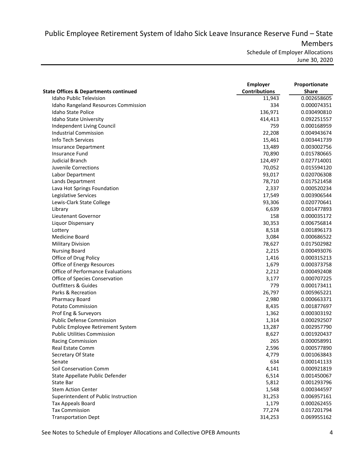Public Employee Retirement System of Idaho Sick Leave Insurance Reserve Fund – State Members

Schedule of Employer Allocations June 30, 2020

|                                                  | <b>Employer</b>      | Proportionate |
|--------------------------------------------------|----------------------|---------------|
| <b>State Offices &amp; Departments continued</b> | <b>Contributions</b> | <b>Share</b>  |
| <b>Idaho Public Television</b>                   | 11,943               | 0.002658605   |
| Idaho Rangeland Resources Commission             | 334                  | 0.000074351   |
| Idaho State Police                               | 136,971              | 0.030490810   |
| Idaho State University                           | 414,413              | 0.092251557   |
| Independent Living Council                       | 759                  | 0.000168959   |
| <b>Industrial Commission</b>                     | 22,208               | 0.004943674   |
| Info Tech Services                               | 15,461               | 0.003441739   |
| <b>Insurance Department</b>                      | 13,489               | 0.003002756   |
| <b>Insurance Fund</b>                            | 70,890               | 0.015780665   |
| <b>Judicial Branch</b>                           | 124,497              | 0.027714001   |
| Juvenile Corrections                             | 70,052               | 0.015594120   |
| Labor Department                                 | 93,017               | 0.020706308   |
| Lands Department                                 | 78,710               | 0.017521458   |
| Lava Hot Springs Foundation                      | 2,337                | 0.000520234   |
| Legislative Services                             | 17,549               | 0.003906544   |
| Lewis-Clark State College                        | 93,306               | 0.020770641   |
| Library                                          | 6,639                | 0.001477893   |
| Lieutenant Governor                              | 158                  | 0.000035172   |
| Liquor Dispensary                                | 30,353               | 0.006756814   |
| Lottery                                          | 8,518                | 0.001896173   |
| Medicine Board                                   | 3,084                | 0.000686522   |
| <b>Military Division</b>                         | 78,627               | 0.017502982   |
| <b>Nursing Board</b>                             | 2,215                | 0.000493076   |
| Office of Drug Policy                            | 1,416                | 0.000315213   |
| Office of Energy Resources                       | 1,679                | 0.000373758   |
| <b>Office of Performance Evaluations</b>         | 2,212                | 0.000492408   |
| Office of Species Conservation                   | 3,177                | 0.000707225   |
| <b>Outfitters &amp; Guides</b>                   | 779                  | 0.000173411   |
| Parks & Recreation                               | 26,797               | 0.005965221   |
| <b>Pharmacy Board</b>                            | 2,980                | 0.000663371   |
| <b>Potato Commission</b>                         | 8,435                | 0.001877697   |
| Prof Eng & Surveyors                             | 1,362                | 0.000303192   |
| <b>Public Defense Commission</b>                 | 1,314                | 0.000292507   |
| Public Employee Retirement System                | 13,287               | 0.002957790   |
| <b>Public Utilities Commission</b>               | 8,627                | 0.001920437   |
| <b>Racing Commission</b>                         | 265                  | 0.000058991   |
| <b>Real Estate Comm</b>                          | 2,596                | 0.000577890   |
| Secretary Of State                               | 4,779                | 0.001063843   |
| Senate                                           | 634                  | 0.000141133   |
| Soil Conservation Comm                           | 4,141                | 0.000921819   |
| State Appellate Public Defender                  | 6,514                | 0.001450067   |
| State Bar                                        | 5,812                | 0.001293796   |
| <b>Stem Action Center</b>                        | 1,548                | 0.000344597   |
| Superintendent of Public Instruction             | 31,253               | 0.006957161   |
| <b>Tax Appeals Board</b>                         | 1,179                | 0.000262455   |
| <b>Tax Commission</b>                            | 77,274               | 0.017201794   |
| <b>Transportation Dept</b>                       | 314,253              | 0.069955162   |
|                                                  |                      |               |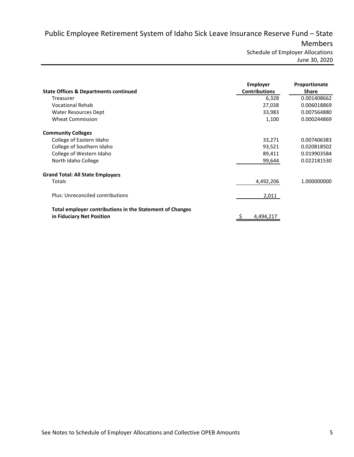Public Employee Retirement System of Idaho Sick Leave Insurance Reserve Fund – State Members Schedule of Employer Allocations

June 30, 2020

| <b>State Offices &amp; Departments continued</b>                                      | <b>Employer</b><br><b>Contributions</b> | Proportionate<br><b>Share</b> |
|---------------------------------------------------------------------------------------|-----------------------------------------|-------------------------------|
| Treasurer                                                                             | 6,328                                   | 0.001408662                   |
| <b>Vocational Rehab</b>                                                               | 27,038                                  | 0.006018869                   |
| Water Resources Dept                                                                  | 33,983                                  | 0.007564880                   |
| <b>Wheat Commission</b>                                                               | 1,100                                   | 0.000244869                   |
| <b>Community Colleges</b>                                                             |                                         |                               |
| College of Eastern Idaho                                                              | 33,271                                  | 0.007406383                   |
| College of Southern Idaho                                                             | 93,521                                  | 0.020818502                   |
| College of Western Idaho                                                              | 89,411                                  | 0.019903584                   |
| North Idaho College                                                                   | 99,644                                  | 0.022181530                   |
| <b>Grand Total: All State Employers</b>                                               |                                         |                               |
| Totals                                                                                | 4,492,206                               | 1.000000000                   |
| Plus: Unreconciled contributions                                                      | 2,011                                   |                               |
| Total employer contributions in the Statement of Changes<br>in Fiduciary Net Position | 4,494,21                                |                               |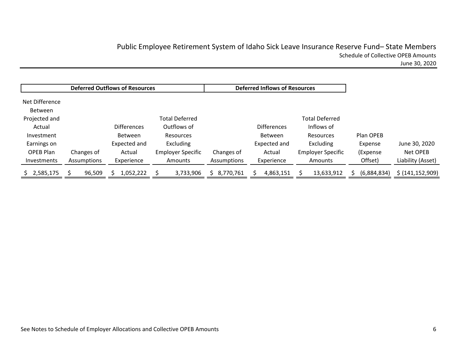# Public Employee Retirement System of Idaho Sick Leave Insurance Reserve Fund– State Members Schedule of Collective OPEB Amounts

June 30, 2020

|                                  |             | <b>Deferred Outflows of Resources</b> |                          |             | <b>Deferred Inflows of Resources</b> |                          |             |                    |
|----------------------------------|-------------|---------------------------------------|--------------------------|-------------|--------------------------------------|--------------------------|-------------|--------------------|
| Net Difference<br><b>Between</b> |             |                                       |                          |             |                                      |                          |             |                    |
| Projected and                    |             |                                       | <b>Total Deferred</b>    |             |                                      | <b>Total Deferred</b>    |             |                    |
| Actual                           |             | <b>Differences</b>                    | Outflows of              |             | <b>Differences</b>                   | Inflows of               |             |                    |
| Investment                       |             | Between                               | <b>Resources</b>         |             | <b>Between</b>                       | Resources                | Plan OPEB   |                    |
| Earnings on                      |             | Expected and                          | <b>Excluding</b>         |             | Expected and                         | Excluding                | Expense     | June 30, 2020      |
| OPEB Plan                        | Changes of  | Actual                                | <b>Employer Specific</b> | Changes of  | Actual                               | <b>Employer Specific</b> | (Expense)   | Net OPEB           |
| Investments                      | Assumptions | Experience                            | Amounts                  | Assumptions | Experience                           | Amounts                  | Offset)     | Liability (Asset)  |
| 2,585,175                        | 96,509      | 1,052,222                             | 3,733,906                | 8,770,761   | 4,863,151                            | 13,633,912               | (6,884,834) | \$ (141, 152, 909) |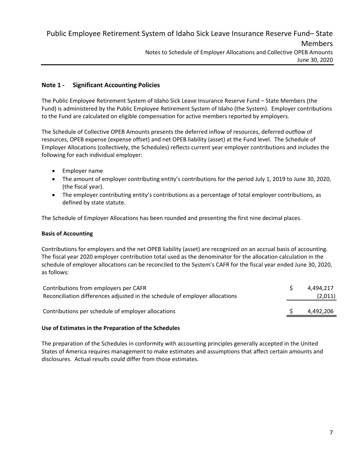# **Note 1 ‐ Significant Accounting Policies**

The Public Employee Retirement System of Idaho Sick Leave Insurance Reserve Fund – State Members (the Fund) is administered by the Public Employee Retirement System of Idaho (the System). Employer contributions to the Fund are calculated on eligible compensation for active members reported by employers.

The Schedule of Collective OPEB Amounts presents the deferred inflow of resources, deferred outflow of resources, OPEB expense (expense offset) and net OPEB liability (asset) at the Fund level. The Schedule of Employer Allocations (collectively, the Schedules) reflects current year employer contributions and includes the following for each individual employer:

- **•** Employer name
- The amount of employer contributing entity's contributions for the period July 1, 2019 to June 30, 2020, (the fiscal year).
- The employer contributing entity's contributions as a percentage of total employer contributions, as defined by state statute.

The Schedule of Employer Allocations has been rounded and presenting the first nine decimal places.

## **Basis of Accounting**

Contributions for employers and the net OPEB liability (asset) are recognized on an accrual basis of accounting. The fiscal year 2020 employer contribution total used as the denominator for the allocation calculation in the schedule of employer allocations can be reconciled to the System's CAFR for the fiscal year ended June 30, 2020, as follows:

| Contributions from employers per CAFR                                       | 4.494.217 |
|-----------------------------------------------------------------------------|-----------|
| Reconciliation differences adjusted in the schedule of employer allocations | (2,011)   |
| Contributions per schedule of employer allocations                          | 4,492,206 |
|                                                                             |           |

## **Use of Estimates in the Preparation of the Schedules**

The preparation of the Schedules in conformity with accounting principles generally accepted in the United States of America requires management to make estimates and assumptions that affect certain amounts and disclosures. Actual results could differ from those estimates.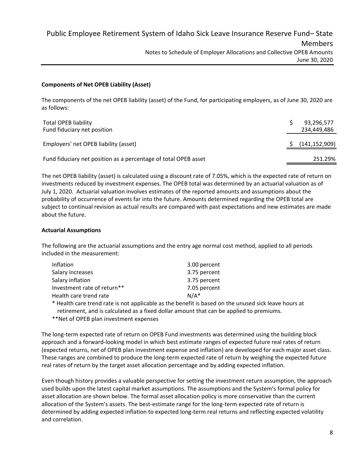# **Components of Net OPEB Liability (Asset)**

The components of the net OPEB liability (asset) of the Fund, for participating employers, as of June 30, 2020 are as follows:

| <b>Total OPEB liability</b><br>Fund fiduciary net position      | 93,296,577<br>234.449.486 |
|-----------------------------------------------------------------|---------------------------|
| Employers' net OPEB liability (asset)                           | (141, 152, 909)           |
| Fund fiduciary net position as a percentage of total OPEB asset | 251.29%                   |

The net OPEB liability (asset) is calculated using a discount rate of 7.05%, which is the expected rate of return on investments reduced by investment expenses. The OPEB total was determined by an actuarial valuation as of July 1, 2020. Actuarial valuation involves estimates of the reported amounts and assumptions about the probability of occurrence of events far into the future. Amounts determined regarding the OPEB total are subject to continual revision as actual results are compared with past expectations and new estimates are made about the future.

## **Actuarial Assumptions**

The following are the actuarial assumptions and the entry age normal cost method, applied to all periods included in the measurement:

| Inflation                   | 3.00 percent |
|-----------------------------|--------------|
| Salary increases            | 3.75 percent |
| Salary inflation            | 3.75 percent |
| Investment rate of return** | 7.05 percent |
| Health care trend rate      | $N/A^*$      |

\* Health care trend rate is not applicable as the benefit is based on the unused sick leave hours at retirement, and is calculated as a fixed dollar amount that can be applied to premiums.

\*\*Net of OPEB plan investment expenses

The long‐term expected rate of return on OPEB Fund investments was determined using the building block approach and a forward‐looking model in which best estimate ranges of expected future real rates of return (expected returns, net of OPEB plan investment expense and inflation) are developed for each major asset class. These ranges are combined to produce the long‐term expected rate of return by weighing the expected future real rates of return by the target asset allocation percentage and by adding expected inflation.

Even though history provides a valuable perspective for setting the investment return assumption, the approach used builds upon the latest capital market assumptions. The assumptions and the System's formal policy for asset allocation are shown below. The formal asset allocation policy is more conservative than the current allocation of the System's assets. The best-estimate range for the long-term expected rate of return is determined by adding expected inflation to expected long‐term real returns and reflecting expected volatility and correlation.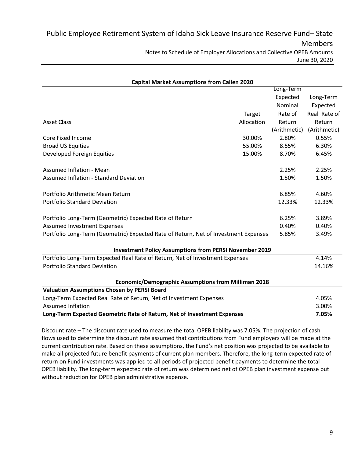| <b>Capital Market Assumptions from Callen 2020</b>                                  |            |              |              |
|-------------------------------------------------------------------------------------|------------|--------------|--------------|
|                                                                                     |            | Long-Term    |              |
|                                                                                     |            | Expected     | Long-Term    |
|                                                                                     |            | Nominal      | Expected     |
|                                                                                     | Target     | Rate of      | Real Rate of |
| <b>Asset Class</b>                                                                  | Allocation | Return       | Return       |
|                                                                                     |            | (Arithmetic) | (Arithmetic) |
| Core Fixed Income                                                                   | 30.00%     | 2.80%        | 0.55%        |
| <b>Broad US Equities</b>                                                            | 55.00%     | 8.55%        | 6.30%        |
| Developed Foreign Equities                                                          | 15.00%     | 8.70%        | 6.45%        |
|                                                                                     |            |              |              |
| <b>Assumed Inflation - Mean</b>                                                     |            | 2.25%        | 2.25%        |
| <b>Assumed Inflation - Standard Deviation</b>                                       |            | 1.50%        | 1.50%        |
|                                                                                     |            |              |              |
| Portfolio Arithmetic Mean Return                                                    |            | 6.85%        | 4.60%        |
| <b>Portfolio Standard Deviation</b>                                                 |            | 12.33%       | 12.33%       |
|                                                                                     |            |              |              |
| Portfolio Long-Term (Geometric) Expected Rate of Return                             |            | 6.25%        | 3.89%        |
| <b>Assumed Investment Expenses</b>                                                  |            | 0.40%        | 0.40%        |
| Portfolio Long-Term (Geometric) Expected Rate of Return, Net of Investment Expenses |            | 5.85%        | 3.49%        |
|                                                                                     |            |              |              |
| <b>Investment Policy Assumptions from PERSI November 2019</b>                       |            |              |              |
| Portfolio Long-Term Expected Real Rate of Return, Net of Investment Expenses        |            |              | 4.14%        |
| <b>Portfolio Standard Deviation</b>                                                 |            |              | 14.16%       |
|                                                                                     |            |              |              |
| Economic/Demographic Assumptions from Milliman 2018                                 |            |              |              |
| <b>Valuation Assumptions Chosen by PERSI Board</b>                                  |            |              |              |
| Long-Term Expected Real Rate of Return, Net of Investment Expenses                  |            |              | 4.05%        |
| <b>Assumed Inflation</b>                                                            |            |              | 3.00%        |
| Long-Term Expected Geometric Rate of Return, Net of Investment Expenses             |            |              | 7.05%        |
|                                                                                     |            |              |              |

Discount rate – The discount rate used to measure the total OPEB liability was 7.05%. The projection of cash flows used to determine the discount rate assumed that contributions from Fund employers will be made at the current contribution rate. Based on these assumptions, the Fund's net position was projected to be available to make all projected future benefit payments of current plan members. Therefore, the long-term expected rate of return on Fund investments was applied to all periods of projected benefit payments to determine the total OPEB liability. The long‐term expected rate of return was determined net of OPEB plan investment expense but without reduction for OPEB plan administrative expense.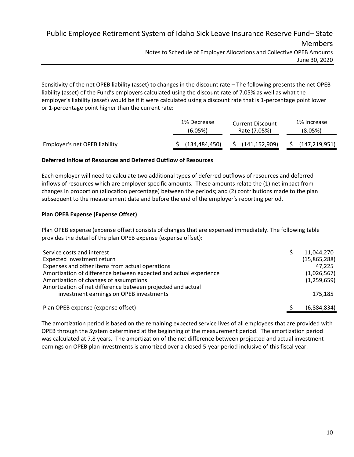Public Employee Retirement System of Idaho Sick Leave Insurance Reserve Fund– State Members Notes to Schedule of Employer Allocations and Collective OPEB Amounts June 30, 2020

Sensitivity of the net OPEB liability (asset) to changes in the discount rate – The following presents the net OPEB liability (asset) of the Fund's employers calculated using the discount rate of 7.05% as well as what the employer's liability (asset) would be if it were calculated using a discount rate that is 1‐percentage point lower or 1‐percentage point higher than the current rate:

|                               | 1% Decrease     | <b>Current Discount</b> | 1% Increase     |
|-------------------------------|-----------------|-------------------------|-----------------|
|                               | (6.05%)         | Rate (7.05%)            | (8.05%)         |
| Employer's net OPEB liability | (134, 484, 450) | (141, 152, 909)         | (147, 219, 951) |

# **Deferred Inflow of Resources and Deferred Outflow of Resources**

Each employer will need to calculate two additional types of deferred outflows of resources and deferred inflows of resources which are employer specific amounts. These amounts relate the (1) net impact from changes in proportion (allocation percentage) between the periods; and (2) contributions made to the plan subsequent to the measurement date and before the end of the employer's reporting period.

# **Plan OPEB Expense (Expense Offset)**

Plan OPEB expense (expense offset) consists of changes that are expensed immediately. The following table provides the detail of the plan OPEB expense (expense offset):

| Service costs and interest                                        | 11,044,270   |
|-------------------------------------------------------------------|--------------|
| Expected investment return                                        | (15,865,288) |
| Expenses and other items from actual operations                   | 47.225       |
| Amortization of difference between expected and actual experience | (1,026,567)  |
| Amortization of changes of assumptions                            | (1,259,659)  |
| Amortization of net difference between projected and actual       |              |
| investment earnings on OPEB investments                           | 175,185      |
|                                                                   |              |
| Plan OPEB expense (expense offset)                                | (6,884,834)  |

The amortization period is based on the remaining expected service lives of all employees that are provided with OPEB through the System determined at the beginning of the measurement period. The amortization period was calculated at 7.8 years. The amortization of the net difference between projected and actual investment earnings on OPEB plan investments is amortized over a closed 5-year period inclusive of this fiscal year.